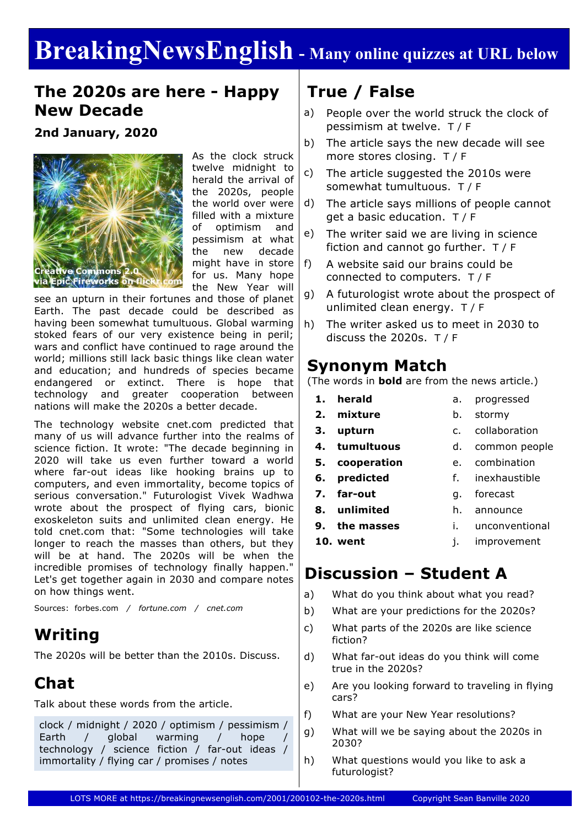# **BreakingNewsEnglish - Many online quizzes at URL below**

### **The 2020s are here - Happy New Decade**

**2nd January, 2020**



As the clock struck twelve midnight to herald the arrival of the 2020s, people the world over were filled with a mixture of optimism and pessimism at what the new decade might have in store for us. Many hope the New Year will

see an upturn in their fortunes and those of planet Earth. The past decade could be described as having been somewhat tumultuous. Global warming stoked fears of our very existence being in peril; wars and conflict have continued to rage around the world; millions still lack basic things like clean water and education; and hundreds of species became endangered or extinct. There is hope that technology and greater cooperation between nations will make the 2020s a better decade.

The technology website cnet.com predicted that many of us will advance further into the realms of science fiction. It wrote: "The decade beginning in 2020 will take us even further toward a world where far-out ideas like hooking brains up to computers, and even immortality, become topics of serious conversation." Futurologist Vivek Wadhwa wrote about the prospect of flying cars, bionic exoskeleton suits and unlimited clean energy. He told cnet.com that: "Some technologies will take longer to reach the masses than others, but they will be at hand. The 2020s will be when the incredible promises of technology finally happen." Let's get together again in 2030 and compare notes on how things went.

Sources: forbes.com */ fortune.com / cnet.com*

### **Writing**

The 2020s will be better than the 2010s. Discuss.

### **Chat**

Talk about these words from the article.

clock / midnight / 2020 / optimism / pessimism / Earth / global warming / hope technology / science fiction / far-out ideas / immortality / flying car / promises / notes

### **True / False**

- a) People over the world struck the clock of pessimism at twelve. T / F
- b) The article says the new decade will see more stores closing. T / F
- c) The article suggested the 2010s were somewhat tumultuous. T / F
- d) The article says millions of people cannot get a basic education. T / F
- e) The writer said we are living in science fiction and cannot go further. T / F
- f) A website said our brains could be connected to computers. T / F
- g) A futurologist wrote about the prospect of unlimited clean energy. T / F
- h) The writer asked us to meet in 2030 to discuss the 2020s. T / F

### **Synonym Match**

(The words in **bold** are from the news article.)

- **1. herald**
- a. progressed
- **2. mixture**
- b. stormy
- **3. upturn**
- 
- 
- **4. tumultuous**
- **5. cooperation**
- **6. predicted**
- **7. far-out**
- **8. unlimited**
- **9. the masses**
- i. unconventional
- 
- j. improvement

### **Discussion – Student A**

- a) What do you think about what you read?
- b) What are your predictions for the 2020s?
- c) What parts of the 2020s are like science fiction?
- d) What far-out ideas do you think will come true in the 2020s?
- e) Are you looking forward to traveling in flying cars?
- f) What are your New Year resolutions?
- g) What will we be saying about the 2020s in 2030?
- h) What questions would you like to ask a futurologist?
- e. combination
- 
- 
- 

**10. went**

c. collaboration d. common people

f. inexhaustible

g. forecast h. announce